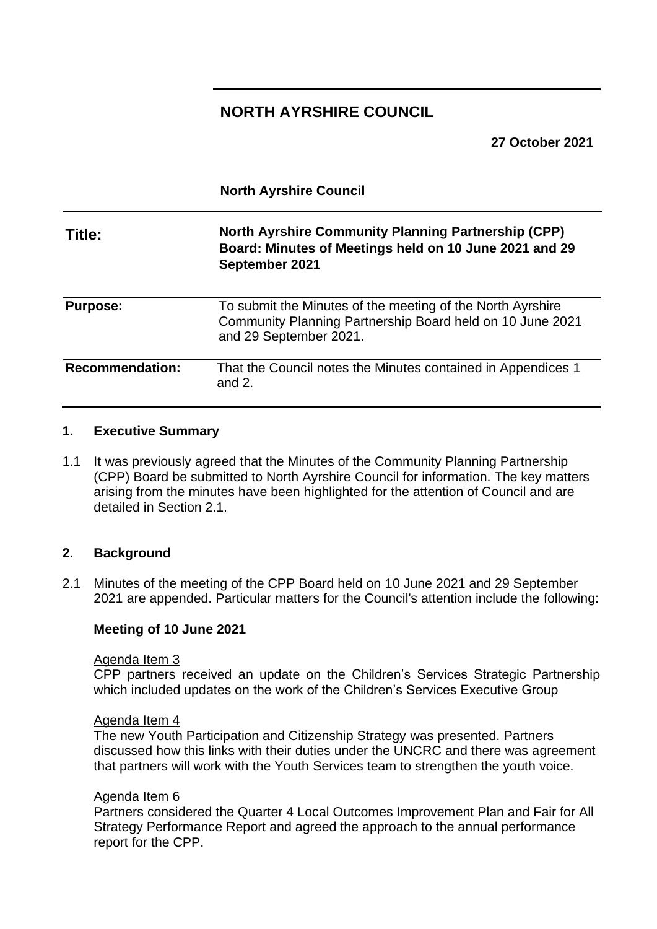## **NORTH AYRSHIRE COUNCIL**

**North Ayrshire Council**

**27 October 2021**

| Title:                 | <b>North Ayrshire Community Planning Partnership (CPP)</b><br>Board: Minutes of Meetings held on 10 June 2021 and 29<br>September 2021            |
|------------------------|---------------------------------------------------------------------------------------------------------------------------------------------------|
| <b>Purpose:</b>        | To submit the Minutes of the meeting of the North Ayrshire<br>Community Planning Partnership Board held on 10 June 2021<br>and 29 September 2021. |
| <b>Recommendation:</b> | That the Council notes the Minutes contained in Appendices 1<br>and $2$ .                                                                         |

## **1. Executive Summary**

1.1 It was previously agreed that the Minutes of the Community Planning Partnership (CPP) Board be submitted to North Ayrshire Council for information. The key matters arising from the minutes have been highlighted for the attention of Council and are detailed in Section 2.1.

## **2. Background**

2.1 Minutes of the meeting of the CPP Board held on 10 June 2021 and 29 September 2021 are appended. Particular matters for the Council's attention include the following:

#### **Meeting of 10 June 2021**

#### Agenda Item 3

CPP partners received an update on the Children's Services Strategic Partnership which included updates on the work of the Children's Services Executive Group

#### Agenda Item 4

The new Youth Participation and Citizenship Strategy was presented. Partners discussed how this links with their duties under the UNCRC and there was agreement that partners will work with the Youth Services team to strengthen the youth voice.

#### Agenda Item 6

Partners considered the Quarter 4 Local Outcomes Improvement Plan and Fair for All Strategy Performance Report and agreed the approach to the annual performance report for the CPP.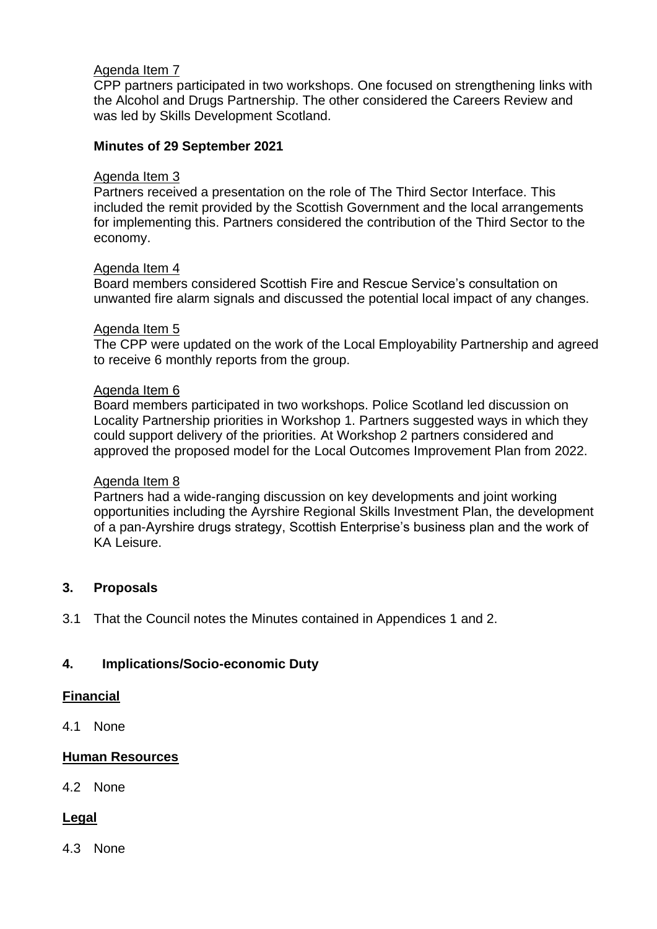## Agenda Item 7

CPP partners participated in two workshops. One focused on strengthening links with the Alcohol and Drugs Partnership. The other considered the Careers Review and was led by Skills Development Scotland.

## **Minutes of 29 September 2021**

## Agenda Item 3

Partners received a presentation on the role of The Third Sector Interface. This included the remit provided by the Scottish Government and the local arrangements for implementing this. Partners considered the contribution of the Third Sector to the economy.

## Agenda Item 4

Board members considered Scottish Fire and Rescue Service's consultation on unwanted fire alarm signals and discussed the potential local impact of any changes.

## Agenda Item 5

The CPP were updated on the work of the Local Employability Partnership and agreed to receive 6 monthly reports from the group.

## Agenda Item 6

Board members participated in two workshops. Police Scotland led discussion on Locality Partnership priorities in Workshop 1. Partners suggested ways in which they could support delivery of the priorities. At Workshop 2 partners considered and approved the proposed model for the Local Outcomes Improvement Plan from 2022.

#### Agenda Item 8

Partners had a wide-ranging discussion on key developments and joint working opportunities including the Ayrshire Regional Skills Investment Plan, the development of a pan-Ayrshire drugs strategy, Scottish Enterprise's business plan and the work of KA Leisure.

## **3. Proposals**

3.1 That the Council notes the Minutes contained in Appendices 1 and 2.

## **4. Implications/Socio-economic Duty**

#### **Financial**

4.1 None

## **Human Resources**

4.2 None

## **Legal**

4.3 None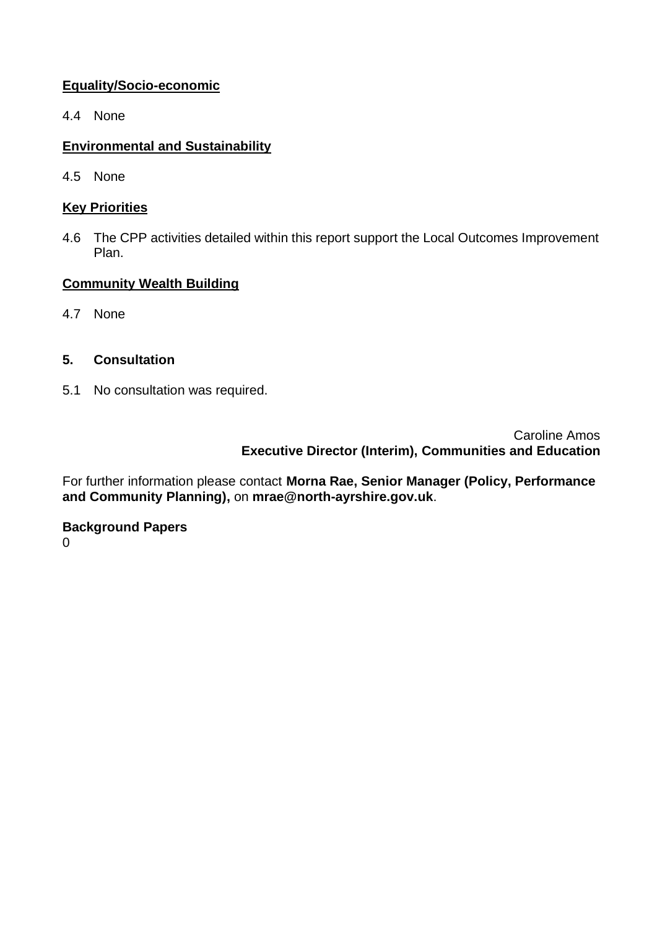## **Equality/Socio-economic**

4.4 None

## **Environmental and Sustainability**

4.5 None

## **Key Priorities**

4.6 The CPP activities detailed within this report support the Local Outcomes Improvement Plan.

## **Community Wealth Building**

4.7 None

## **5. Consultation**

5.1 No consultation was required.

Caroline Amos **Executive Director (Interim), Communities and Education**

For further information please contact **Morna Rae, Senior Manager (Policy, Performance and Community Planning),** on **mrae@north-ayrshire.gov.uk**.

# **Background Papers**

 $\Omega$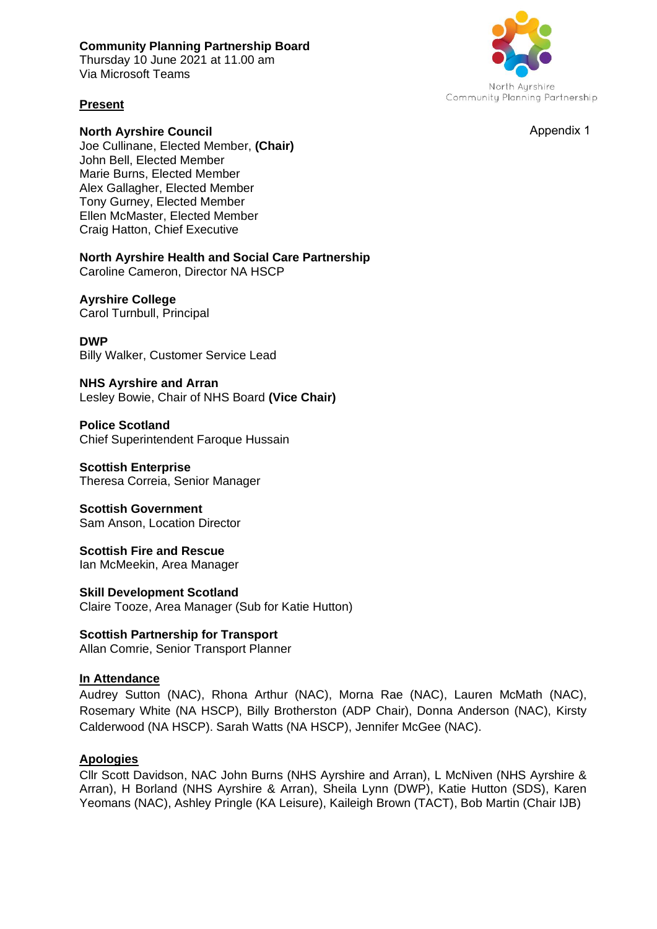#### **Community Planning Partnership Board**

Thursday 10 June 2021 at 11.00 am Via Microsoft Teams

## **Present**

**North Ayrshire Council**  Joe Cullinane, Elected Member, **(Chair)** John Bell, Elected Member Marie Burns, Elected Member Alex Gallagher, Elected Member Tony Gurney, Elected Member Ellen McMaster, Elected Member Craig Hatton, Chief Executive

**North Ayrshire Health and Social Care Partnership**  Caroline Cameron, Director NA HSCP

## **Ayrshire College**

Carol Turnbull, Principal

#### **DWP**

Billy Walker, Customer Service Lead

**NHS Ayrshire and Arran** 

Lesley Bowie, Chair of NHS Board **(Vice Chair)** 

**Police Scotland**  Chief Superintendent Faroque Hussain

**Scottish Enterprise**  Theresa Correia, Senior Manager

**Scottish Government**  Sam Anson, Location Director

**Scottish Fire and Rescue**  Ian McMeekin, Area Manager

**Skill Development Scotland**  Claire Tooze, Area Manager (Sub for Katie Hutton)

**Scottish Partnership for Transport**  Allan Comrie, Senior Transport Planner

#### **In Attendance**

Audrey Sutton (NAC), Rhona Arthur (NAC), Morna Rae (NAC), Lauren McMath (NAC), Rosemary White (NA HSCP), Billy Brotherston (ADP Chair), Donna Anderson (NAC), Kirsty Calderwood (NA HSCP). Sarah Watts (NA HSCP), Jennifer McGee (NAC).

#### **Apologies**

Cllr Scott Davidson, NAC John Burns (NHS Ayrshire and Arran), L McNiven (NHS Ayrshire & Arran), H Borland (NHS Ayrshire & Arran), Sheila Lynn (DWP), Katie Hutton (SDS), Karen Yeomans (NAC), Ashley Pringle (KA Leisure), Kaileigh Brown (TACT), Bob Martin (Chair IJB)



Appendix 1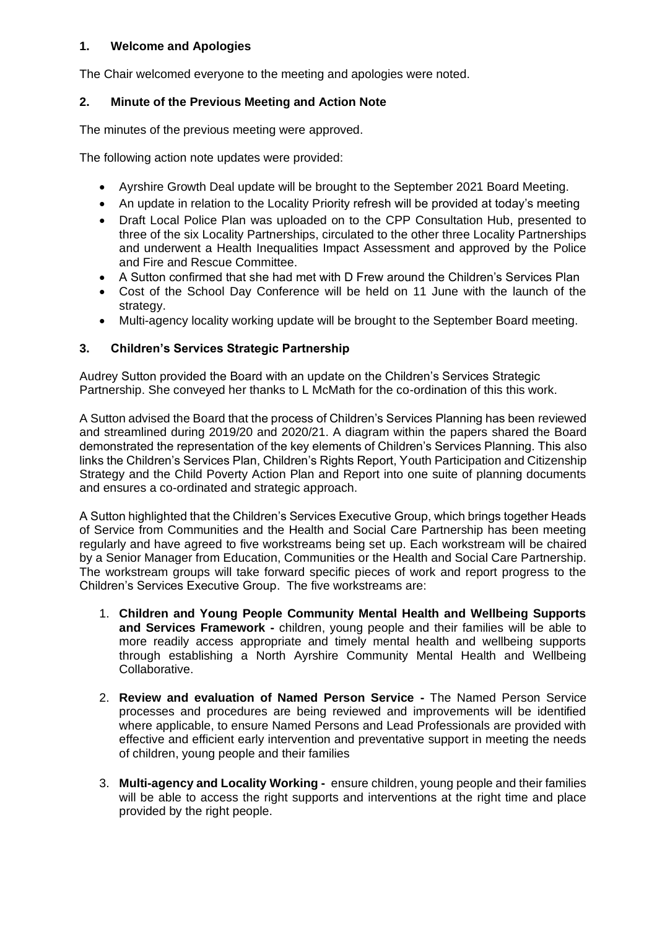## **1. Welcome and Apologies**

The Chair welcomed everyone to the meeting and apologies were noted.

## **2. Minute of the Previous Meeting and Action Note**

The minutes of the previous meeting were approved.

The following action note updates were provided:

- Ayrshire Growth Deal update will be brought to the September 2021 Board Meeting.
- An update in relation to the Locality Priority refresh will be provided at today's meeting
- Draft Local Police Plan was uploaded on to the CPP Consultation Hub, presented to three of the six Locality Partnerships, circulated to the other three Locality Partnerships and underwent a Health Inequalities Impact Assessment and approved by the Police and Fire and Rescue Committee.
- A Sutton confirmed that she had met with D Frew around the Children's Services Plan
- Cost of the School Day Conference will be held on 11 June with the launch of the strategy.
- Multi-agency locality working update will be brought to the September Board meeting.

## **3. Children's Services Strategic Partnership**

Audrey Sutton provided the Board with an update on the Children's Services Strategic Partnership. She conveyed her thanks to L McMath for the co-ordination of this this work.

A Sutton advised the Board that the process of Children's Services Planning has been reviewed and streamlined during 2019/20 and 2020/21. A diagram within the papers shared the Board demonstrated the representation of the key elements of Children's Services Planning. This also links the Children's Services Plan, Children's Rights Report, Youth Participation and Citizenship Strategy and the Child Poverty Action Plan and Report into one suite of planning documents and ensures a co-ordinated and strategic approach.

A Sutton highlighted that the Children's Services Executive Group, which brings together Heads of Service from Communities and the Health and Social Care Partnership has been meeting regularly and have agreed to five workstreams being set up. Each workstream will be chaired by a Senior Manager from Education, Communities or the Health and Social Care Partnership. The workstream groups will take forward specific pieces of work and report progress to the Children's Services Executive Group. The five workstreams are:

- 1. **Children and Young People Community Mental Health and Wellbeing Supports and Services Framework -** children, young people and their families will be able to more readily access appropriate and timely mental health and wellbeing supports through establishing a North Ayrshire Community Mental Health and Wellbeing Collaborative.
- 2. **Review and evaluation of Named Person Service -** The Named Person Service processes and procedures are being reviewed and improvements will be identified where applicable, to ensure Named Persons and Lead Professionals are provided with effective and efficient early intervention and preventative support in meeting the needs of children, young people and their families
- 3. **Multi-agency and Locality Working -** ensure children, young people and their families will be able to access the right supports and interventions at the right time and place provided by the right people.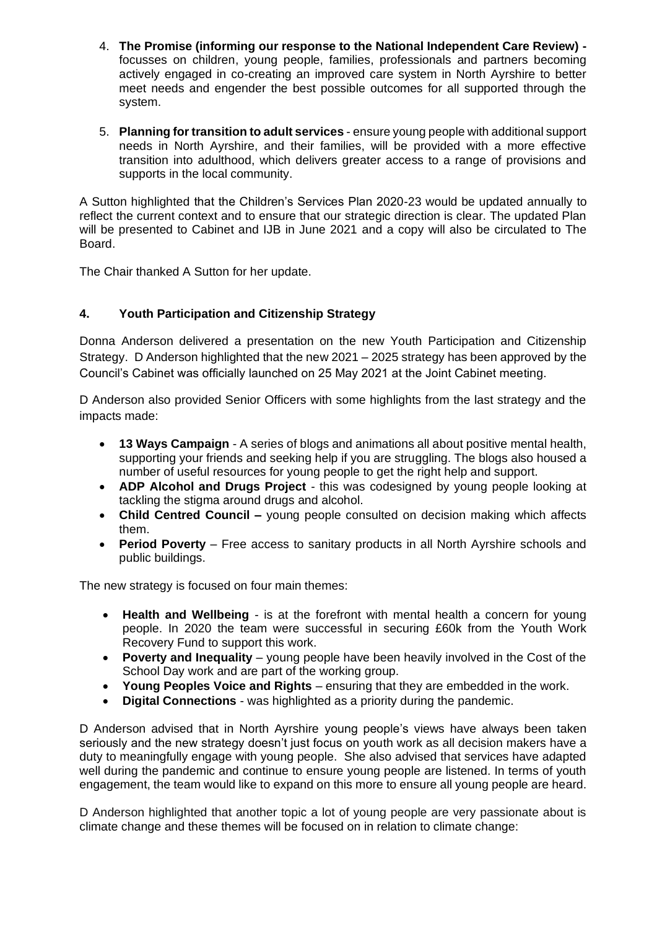- 4. **The Promise (informing our response to the National Independent Care Review)**  focusses on children, young people, families, professionals and partners becoming actively engaged in co-creating an improved care system in North Ayrshire to better meet needs and engender the best possible outcomes for all supported through the system.
- 5. **Planning for transition to adult services**  ensure young people with additional support needs in North Ayrshire, and their families, will be provided with a more effective transition into adulthood, which delivers greater access to a range of provisions and supports in the local community.

A Sutton highlighted that the Children's Services Plan 2020-23 would be updated annually to reflect the current context and to ensure that our strategic direction is clear. The updated Plan will be presented to Cabinet and IJB in June 2021 and a copy will also be circulated to The Board.

The Chair thanked A Sutton for her update.

## **4. Youth Participation and Citizenship Strategy**

Donna Anderson delivered a presentation on the new Youth Participation and Citizenship Strategy. D Anderson highlighted that the new 2021 – 2025 strategy has been approved by the Council's Cabinet was officially launched on 25 May 2021 at the Joint Cabinet meeting.

D Anderson also provided Senior Officers with some highlights from the last strategy and the impacts made:

- **13 Ways Campaign** A series of blogs and animations all about positive mental health, supporting your friends and seeking help if you are struggling. The blogs also housed a number of useful resources for young people to get the right help and support.
- **ADP Alcohol and Drugs Project**  this was codesigned by young people looking at tackling the stigma around drugs and alcohol.
- **Child Centred Council –** young people consulted on decision making which affects them.
- **Period Poverty** Free access to sanitary products in all North Ayrshire schools and public buildings.

The new strategy is focused on four main themes:

- **Health and Wellbeing** is at the forefront with mental health a concern for young people. In 2020 the team were successful in securing £60k from the Youth Work Recovery Fund to support this work.
- **Poverty and Inequality**  young people have been heavily involved in the Cost of the School Day work and are part of the working group.
- **Young Peoples Voice and Rights**  ensuring that they are embedded in the work.
- **Digital Connections** was highlighted as a priority during the pandemic.

D Anderson advised that in North Ayrshire young people's views have always been taken seriously and the new strategy doesn't just focus on youth work as all decision makers have a duty to meaningfully engage with young people. She also advised that services have adapted well during the pandemic and continue to ensure young people are listened. In terms of youth engagement, the team would like to expand on this more to ensure all young people are heard.

D Anderson highlighted that another topic a lot of young people are very passionate about is climate change and these themes will be focused on in relation to climate change: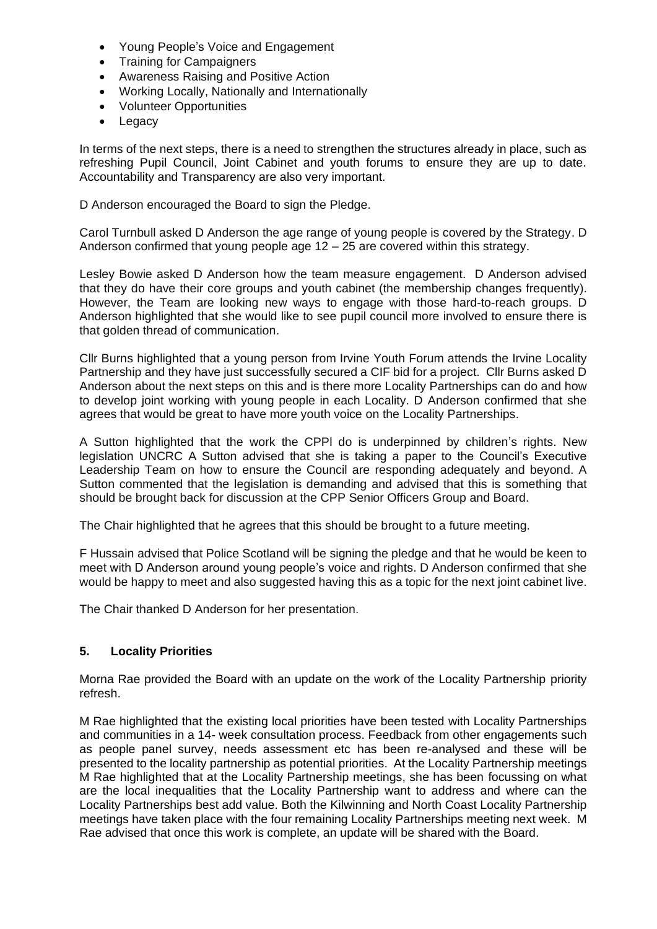- Young People's Voice and Engagement
- Training for Campaigners
- Awareness Raising and Positive Action
- Working Locally, Nationally and Internationally
- Volunteer Opportunities
- **Legacy**

In terms of the next steps, there is a need to strengthen the structures already in place, such as refreshing Pupil Council, Joint Cabinet and youth forums to ensure they are up to date. Accountability and Transparency are also very important.

D Anderson encouraged the Board to sign the Pledge.

Carol Turnbull asked D Anderson the age range of young people is covered by the Strategy. D Anderson confirmed that young people age 12 – 25 are covered within this strategy.

Lesley Bowie asked D Anderson how the team measure engagement. D Anderson advised that they do have their core groups and youth cabinet (the membership changes frequently). However, the Team are looking new ways to engage with those hard-to-reach groups. D Anderson highlighted that she would like to see pupil council more involved to ensure there is that golden thread of communication.

Cllr Burns highlighted that a young person from Irvine Youth Forum attends the Irvine Locality Partnership and they have just successfully secured a CIF bid for a project. Cllr Burns asked D Anderson about the next steps on this and is there more Locality Partnerships can do and how to develop joint working with young people in each Locality. D Anderson confirmed that she agrees that would be great to have more youth voice on the Locality Partnerships.

A Sutton highlighted that the work the CPPl do is underpinned by children's rights. New legislation UNCRC A Sutton advised that she is taking a paper to the Council's Executive Leadership Team on how to ensure the Council are responding adequately and beyond. A Sutton commented that the legislation is demanding and advised that this is something that should be brought back for discussion at the CPP Senior Officers Group and Board.

The Chair highlighted that he agrees that this should be brought to a future meeting.

F Hussain advised that Police Scotland will be signing the pledge and that he would be keen to meet with D Anderson around young people's voice and rights. D Anderson confirmed that she would be happy to meet and also suggested having this as a topic for the next joint cabinet live.

The Chair thanked D Anderson for her presentation.

#### **5. Locality Priorities**

Morna Rae provided the Board with an update on the work of the Locality Partnership priority refresh.

M Rae highlighted that the existing local priorities have been tested with Locality Partnerships and communities in a 14- week consultation process. Feedback from other engagements such as people panel survey, needs assessment etc has been re-analysed and these will be presented to the locality partnership as potential priorities. At the Locality Partnership meetings M Rae highlighted that at the Locality Partnership meetings, she has been focussing on what are the local inequalities that the Locality Partnership want to address and where can the Locality Partnerships best add value. Both the Kilwinning and North Coast Locality Partnership meetings have taken place with the four remaining Locality Partnerships meeting next week. M Rae advised that once this work is complete, an update will be shared with the Board.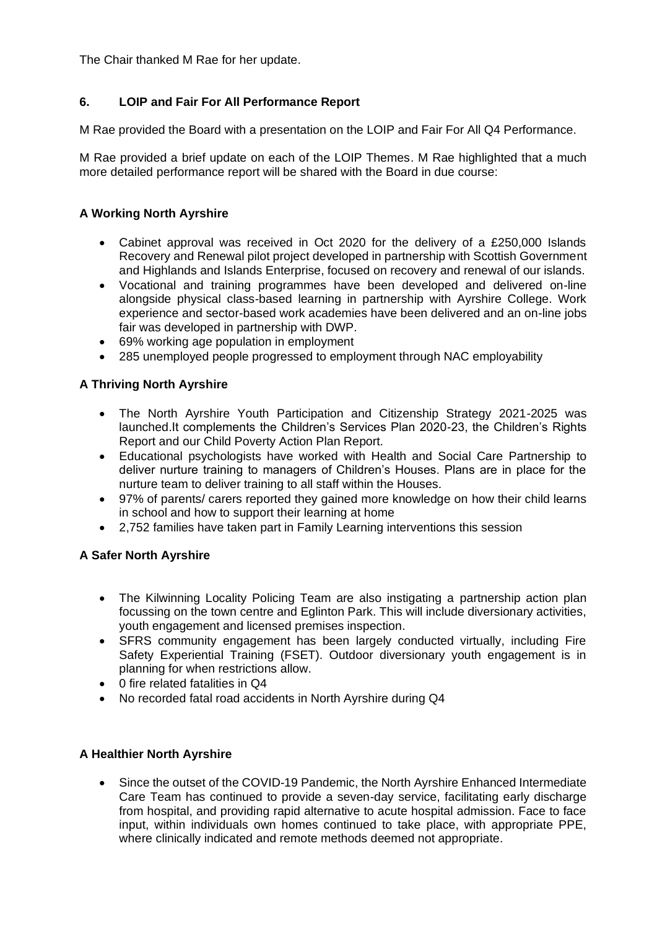The Chair thanked M Rae for her update.

## **6. LOIP and Fair For All Performance Report**

M Rae provided the Board with a presentation on the LOIP and Fair For All Q4 Performance.

M Rae provided a brief update on each of the LOIP Themes. M Rae highlighted that a much more detailed performance report will be shared with the Board in due course:

## **A Working North Ayrshire**

- Cabinet approval was received in Oct 2020 for the delivery of a £250,000 Islands Recovery and Renewal pilot project developed in partnership with Scottish Government and Highlands and Islands Enterprise, focused on recovery and renewal of our islands.
- Vocational and training programmes have been developed and delivered on-line alongside physical class-based learning in partnership with Ayrshire College. Work experience and sector-based work academies have been delivered and an on-line jobs fair was developed in partnership with DWP.
- 69% working age population in employment
- 285 unemployed people progressed to employment through NAC employability

## **A Thriving North Ayrshire**

- The North Ayrshire Youth Participation and Citizenship Strategy 2021-2025 was launched.It complements the Children's Services Plan 2020-23, the Children's Rights Report and our Child Poverty Action Plan Report.
- Educational psychologists have worked with Health and Social Care Partnership to deliver nurture training to managers of Children's Houses. Plans are in place for the nurture team to deliver training to all staff within the Houses.
- 97% of parents/ carers reported they gained more knowledge on how their child learns in school and how to support their learning at home
- 2,752 families have taken part in Family Learning interventions this session

## **A Safer North Ayrshire**

- The Kilwinning Locality Policing Team are also instigating a partnership action plan focussing on the town centre and Eglinton Park. This will include diversionary activities, youth engagement and licensed premises inspection.
- SFRS community engagement has been largely conducted virtually, including Fire Safety Experiential Training (FSET). Outdoor diversionary youth engagement is in planning for when restrictions allow.
- 0 fire related fatalities in Q4
- No recorded fatal road accidents in North Ayrshire during Q4

#### **A Healthier North Ayrshire**

• Since the outset of the COVID-19 Pandemic, the North Ayrshire Enhanced Intermediate Care Team has continued to provide a seven-day service, facilitating early discharge from hospital, and providing rapid alternative to acute hospital admission. Face to face input, within individuals own homes continued to take place, with appropriate PPE, where clinically indicated and remote methods deemed not appropriate.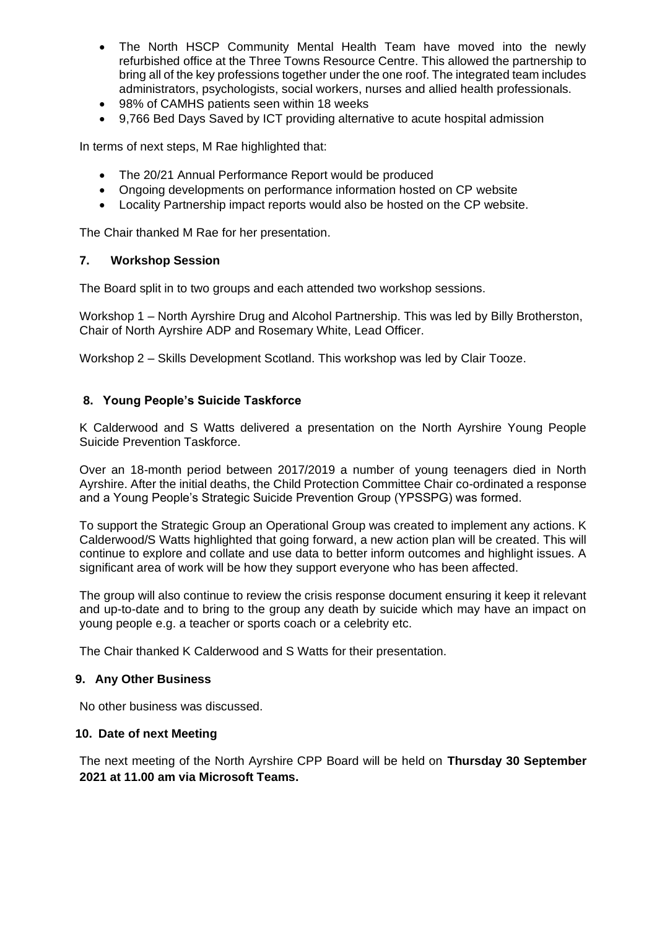- The North HSCP Community Mental Health Team have moved into the newly refurbished office at the Three Towns Resource Centre. This allowed the partnership to bring all of the key professions together under the one roof. The integrated team includes administrators, psychologists, social workers, nurses and allied health professionals.
- 98% of CAMHS patients seen within 18 weeks
- 9,766 Bed Days Saved by ICT providing alternative to acute hospital admission

In terms of next steps, M Rae highlighted that:

- The 20/21 Annual Performance Report would be produced
- Ongoing developments on performance information hosted on CP website
- Locality Partnership impact reports would also be hosted on the CP website.

The Chair thanked M Rae for her presentation.

#### **7. Workshop Session**

The Board split in to two groups and each attended two workshop sessions.

Workshop 1 – North Ayrshire Drug and Alcohol Partnership. This was led by Billy Brotherston, Chair of North Ayrshire ADP and Rosemary White, Lead Officer.

Workshop 2 – Skills Development Scotland. This workshop was led by Clair Tooze.

#### **8. Young People's Suicide Taskforce**

K Calderwood and S Watts delivered a presentation on the North Ayrshire Young People Suicide Prevention Taskforce.

Over an 18-month period between 2017/2019 a number of young teenagers died in North Ayrshire. After the initial deaths, the Child Protection Committee Chair co-ordinated a response and a Young People's Strategic Suicide Prevention Group (YPSSPG) was formed.

To support the Strategic Group an Operational Group was created to implement any actions. K Calderwood/S Watts highlighted that going forward, a new action plan will be created. This will continue to explore and collate and use data to better inform outcomes and highlight issues. A significant area of work will be how they support everyone who has been affected.

The group will also continue to review the crisis response document ensuring it keep it relevant and up-to-date and to bring to the group any death by suicide which may have an impact on young people e.g. a teacher or sports coach or a celebrity etc.

The Chair thanked K Calderwood and S Watts for their presentation.

#### **9. Any Other Business**

No other business was discussed.

#### **10. Date of next Meeting**

The next meeting of the North Ayrshire CPP Board will be held on **Thursday 30 September 2021 at 11.00 am via Microsoft Teams.**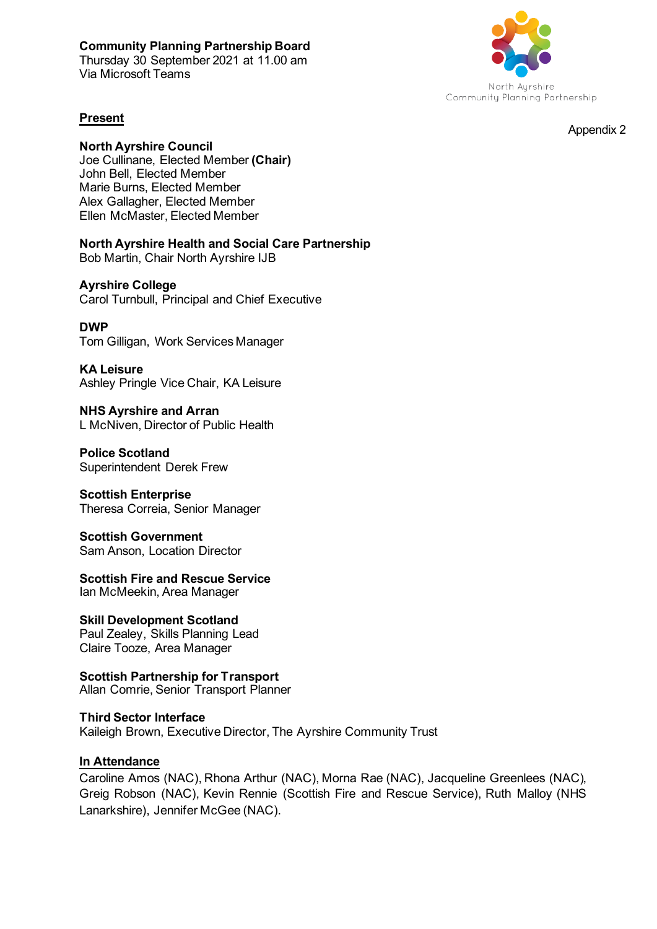## **Community Planning Partnership Board**

Thursday 30 September 2021 at 11.00 am Via Microsoft Teams



Appendix 2

#### **Present**

#### **North Ayrshire Council**

Joe Cullinane, Elected Member **(Chair)** John Bell, Elected Member Marie Burns, Elected Member Alex Gallagher, Elected Member Ellen McMaster, Elected Member

**North Ayrshire Health and Social Care Partnership**  Bob Martin, Chair North Ayrshire IJB

#### **Ayrshire College**

Carol Turnbull, Principal and Chief Executive

#### **DWP**

Tom Gilligan, Work Services Manager

**KA Leisure**  Ashley Pringle Vice Chair, KA Leisure

**NHS Ayrshire and Arran**  L McNiven, Director of Public Health

**Police Scotland**  Superintendent Derek Frew

#### **Scottish Enterprise**

Theresa Correia, Senior Manager

**Scottish Government**  Sam Anson, Location Director

**Scottish Fire and Rescue Service** Ian McMeekin, Area Manager

**Skill Development Scotland**  Paul Zealey, Skills Planning Lead Claire Tooze, Area Manager

**Scottish Partnership for Transport**  Allan Comrie, Senior Transport Planner

**Third Sector Interface** Kaileigh Brown, Executive Director, The Ayrshire Community Trust

#### **In Attendance**

Caroline Amos (NAC), Rhona Arthur (NAC), Morna Rae (NAC), Jacqueline Greenlees (NAC), Greig Robson (NAC), Kevin Rennie (Scottish Fire and Rescue Service), Ruth Malloy (NHS Lanarkshire), Jennifer McGee (NAC).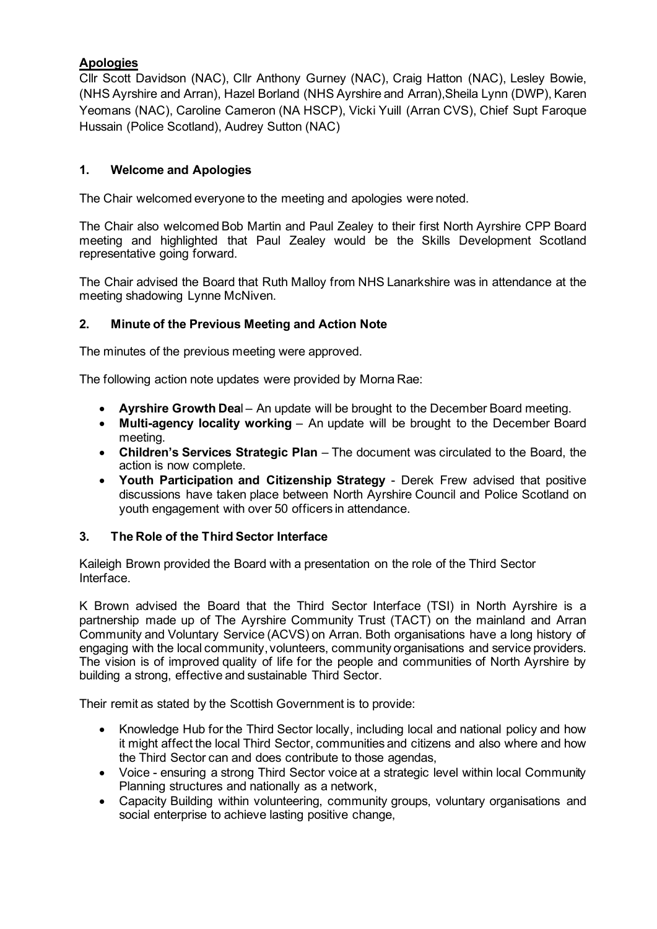## **Apologies**

Cllr Scott Davidson (NAC), Cllr Anthony Gurney (NAC), Craig Hatton (NAC), Lesley Bowie, (NHS Ayrshire and Arran), Hazel Borland (NHS Ayrshire and Arran),Sheila Lynn (DWP), Karen Yeomans (NAC), Caroline Cameron (NA HSCP), Vicki Yuill (Arran CVS), Chief Supt Faroque Hussain (Police Scotland), Audrey Sutton (NAC)

## **1. Welcome and Apologies**

The Chair welcomed everyone to the meeting and apologies were noted.

The Chair also welcomed Bob Martin and Paul Zealey to their first North Ayrshire CPP Board meeting and highlighted that Paul Zealey would be the Skills Development Scotland representative going forward.

The Chair advised the Board that Ruth Malloy from NHS Lanarkshire was in attendance at the meeting shadowing Lynne McNiven.

## **2. Minute of the Previous Meeting and Action Note**

The minutes of the previous meeting were approved.

The following action note updates were provided by Morna Rae:

- **Ayrshire Growth Dea**l An update will be brought to the December Board meeting.
- **Multi-agency locality working** An update will be brought to the December Board meeting.
- **Children's Services Strategic Plan** The document was circulated to the Board, the action is now complete.
- **Youth Participation and Citizenship Strategy**  Derek Frew advised that positive discussions have taken place between North Ayrshire Council and Police Scotland on youth engagement with over 50 officers in attendance.

## **3. The Role of the Third Sector Interface**

Kaileigh Brown provided the Board with a presentation on the role of the Third Sector Interface.

K Brown advised the Board that the Third Sector Interface (TSI) in North Ayrshire is a partnership made up of The Ayrshire Community Trust (TACT) on the mainland and Arran Community and Voluntary Service (ACVS) on Arran. Both organisations have a long history of engaging with the local community, volunteers, community organisations and service providers. The vision is of improved quality of life for the people and communities of North Ayrshire by building a strong, effective and sustainable Third Sector.

Their remit as stated by the Scottish Government is to provide:

- Knowledge Hub for the Third Sector locally, including local and national policy and how it might affect the local Third Sector, communities and citizens and also where and how the Third Sector can and does contribute to those agendas,
- Voice ensuring a strong Third Sector voice at a strategic level within local Community Planning structures and nationally as a network,
- Capacity Building within volunteering, community groups, voluntary organisations and social enterprise to achieve lasting positive change,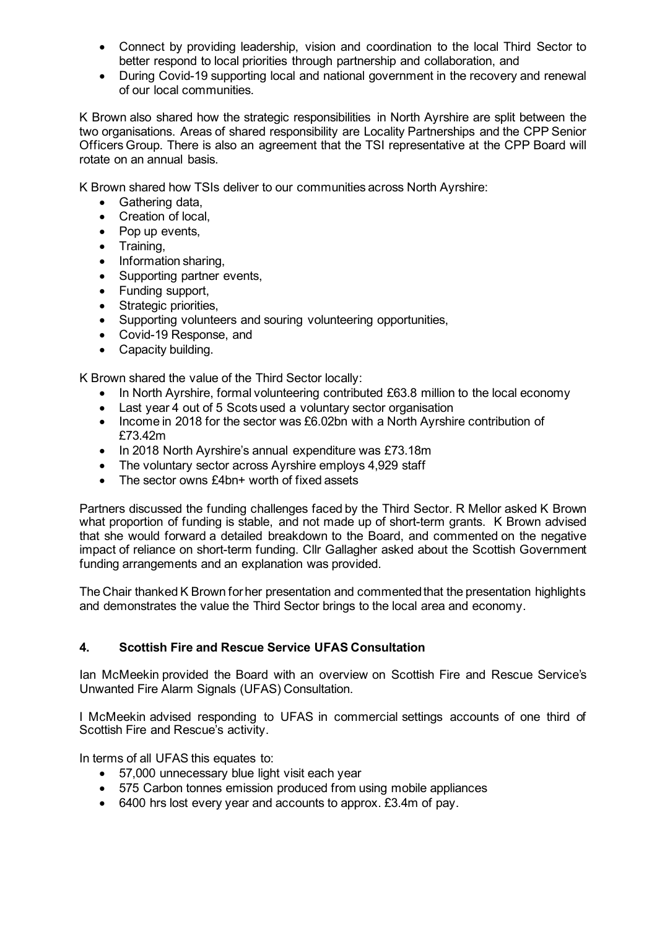- Connect by providing leadership, vision and coordination to the local Third Sector to better respond to local priorities through partnership and collaboration, and
- During Covid-19 supporting local and national government in the recovery and renewal of our local communities.

K Brown also shared how the strategic responsibilities in North Ayrshire are split between the two organisations. Areas of shared responsibility are Locality Partnerships and the CPP Senior Officers Group. There is also an agreement that the TSI representative at the CPP Board will rotate on an annual basis.

K Brown shared how TSIs deliver to our communities across North Ayrshire:

- Gathering data,
- Creation of local,
- Pop up events,
- Training,
- Information sharing,
- Supporting partner events,
- Funding support,
- Strategic priorities,
- Supporting volunteers and souring volunteering opportunities,
- Covid-19 Response, and
- Capacity building.

K Brown shared the value of the Third Sector locally:

- In North Ayrshire, formal volunteering contributed £63.8 million to the local economy
- Last year 4 out of 5 Scots used a voluntary sector organisation
- Income in 2018 for the sector was £6.02bn with a North Ayrshire contribution of £73.42m
- In 2018 North Ayrshire's annual expenditure was £73.18m
- The voluntary sector across Ayrshire employs 4,929 staff
- The sector owns £4bn+ worth of fixed assets

Partners discussed the funding challenges faced by the Third Sector. R Mellor asked K Brown what proportion of funding is stable, and not made up of short-term grants. K Brown advised that she would forward a detailed breakdown to the Board, and commented on the negative impact of reliance on short-term funding. Cllr Gallagher asked about the Scottish Government funding arrangements and an explanation was provided.

The Chair thanked K Brown for her presentation and commented that the presentation highlights and demonstrates the value the Third Sector brings to the local area and economy.

## **4. Scottish Fire and Rescue Service UFAS Consultation**

Ian McMeekin provided the Board with an overview on Scottish Fire and Rescue Service's Unwanted Fire Alarm Signals (UFAS) Consultation.

I McMeekin advised responding to UFAS in commercial settings accounts of one third of Scottish Fire and Rescue's activity.

In terms of all UFAS this equates to:

- 57,000 unnecessary blue light visit each year
- 575 Carbon tonnes emission produced from using mobile appliances
- 6400 hrs lost every year and accounts to approx. £3.4m of pay.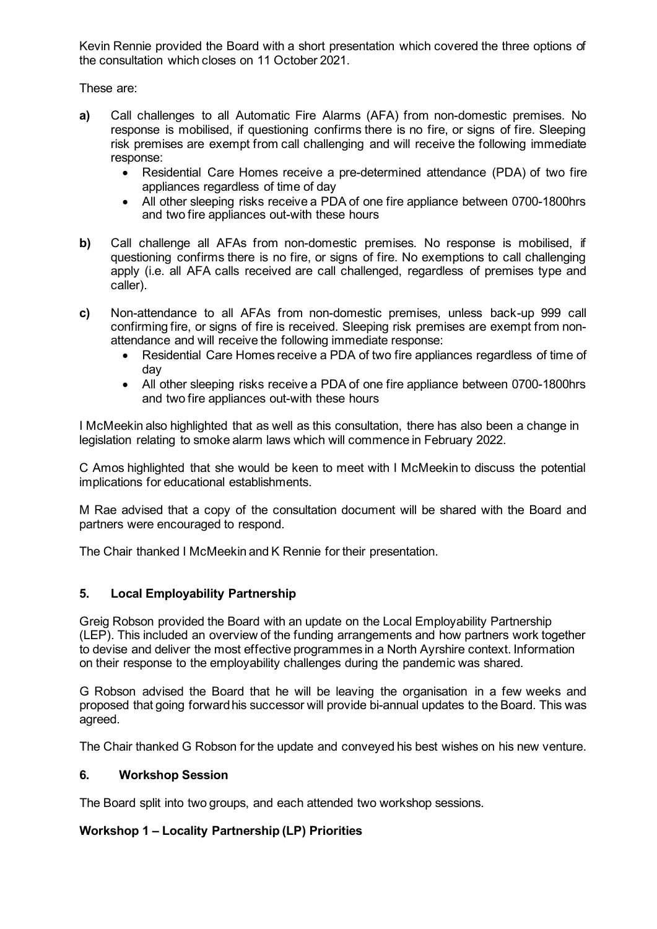Kevin Rennie provided the Board with a short presentation which covered the three options of the consultation which closes on 11 October 2021.

These are:

- **a)** Call challenges to all Automatic Fire Alarms (AFA) from non-domestic premises. No response is mobilised, if questioning confirms there is no fire, or signs of fire. Sleeping risk premises are exempt from call challenging and will receive the following immediate response:
	- Residential Care Homes receive a pre-determined attendance (PDA) of two fire appliances regardless of time of day
	- All other sleeping risks receive a PDA of one fire appliance between 0700-1800hrs and two fire appliances out-with these hours
- **b)** Call challenge all AFAs from non-domestic premises. No response is mobilised, if questioning confirms there is no fire, or signs of fire. No exemptions to call challenging apply (i.e. all AFA calls received are call challenged, regardless of premises type and caller).
- **c)** Non-attendance to all AFAs from non-domestic premises, unless back-up 999 call confirming fire, or signs of fire is received. Sleeping risk premises are exempt from nonattendance and will receive the following immediate response:
	- Residential Care Homes receive a PDA of two fire appliances regardless of time of day
	- All other sleeping risks receive a PDA of one fire appliance between 0700-1800hrs and two fire appliances out-with these hours

I McMeekin also highlighted that as well as this consultation, there has also been a change in legislation relating to smoke alarm laws which will commence in February 2022.

C Amos highlighted that she would be keen to meet with I McMeekin to discuss the potential implications for educational establishments.

M Rae advised that a copy of the consultation document will be shared with the Board and partners were encouraged to respond.

The Chair thanked I McMeekin and K Rennie for their presentation.

#### **5. Local Employability Partnership**

Greig Robson provided the Board with an update on the Local Employability Partnership (LEP). This included an overview of the funding arrangements and how partners work together to devise and deliver the most effective programmes in a North Ayrshire context. Information on their response to the employability challenges during the pandemic was shared.

G Robson advised the Board that he will be leaving the organisation in a few weeks and proposed that going forward his successor will provide bi-annual updates to the Board. This was agreed.

The Chair thanked G Robson for the update and conveyed his best wishes on his new venture.

#### **6. Workshop Session**

The Board split into two groups, and each attended two workshop sessions.

#### **Workshop 1 – Locality Partnership (LP) Priorities**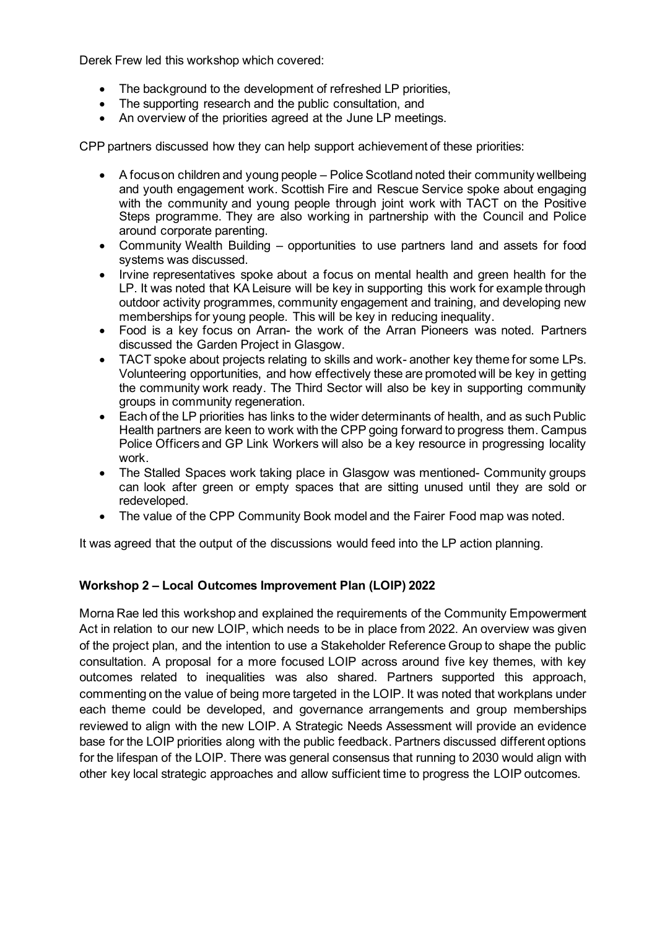Derek Frew led this workshop which covered:

- The background to the development of refreshed LP priorities,
- The supporting research and the public consultation, and
- An overview of the priorities agreed at the June LP meetings.

CPP partners discussed how they can help support achievement of these priorities:

- A focus on children and young people Police Scotland noted their community wellbeing and youth engagement work. Scottish Fire and Rescue Service spoke about engaging with the community and young people through joint work with TACT on the Positive Steps programme. They are also working in partnership with the Council and Police around corporate parenting.
- Community Wealth Building opportunities to use partners land and assets for food systems was discussed.
- Irvine representatives spoke about a focus on mental health and green health for the LP. It was noted that KA Leisure will be key in supporting this work for example through outdoor activity programmes, community engagement and training, and developing new memberships for young people. This will be key in reducing inequality.
- Food is a key focus on Arran- the work of the Arran Pioneers was noted. Partners discussed the Garden Project in Glasgow.
- TACT spoke about projects relating to skills and work- another key theme for some LPs. Volunteering opportunities, and how effectively these are promoted will be key in getting the community work ready. The Third Sector will also be key in supporting community groups in community regeneration.
- Each of the LP priorities has links to the wider determinants of health, and as such Public Health partners are keen to work with the CPP going forward to progress them. Campus Police Officers and GP Link Workers will also be a key resource in progressing locality work.
- The Stalled Spaces work taking place in Glasgow was mentioned- Community groups can look after green or empty spaces that are sitting unused until they are sold or redeveloped.
- The value of the CPP Community Book model and the Fairer Food map was noted.

It was agreed that the output of the discussions would feed into the LP action planning.

## **Workshop 2 – Local Outcomes Improvement Plan (LOIP) 2022**

Morna Rae led this workshop and explained the requirements of the Community Empowerment Act in relation to our new LOIP, which needs to be in place from 2022. An overview was given of the project plan, and the intention to use a Stakeholder Reference Group to shape the public consultation. A proposal for a more focused LOIP across around five key themes, with key outcomes related to inequalities was also shared. Partners supported this approach, commenting on the value of being more targeted in the LOIP. It was noted that workplans under each theme could be developed, and governance arrangements and group memberships reviewed to align with the new LOIP. A Strategic Needs Assessment will provide an evidence base for the LOIP priorities along with the public feedback. Partners discussed different options for the lifespan of the LOIP. There was general consensus that running to 2030 would align with other key local strategic approaches and allow sufficient time to progress the LOIP outcomes.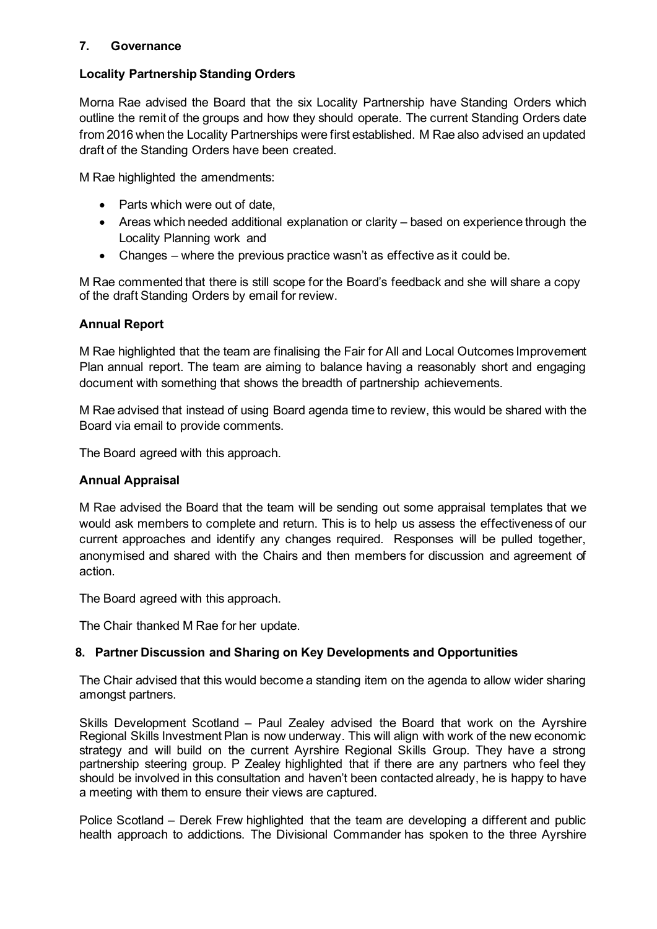## **7. Governance**

## **Locality Partnership Standing Orders**

Morna Rae advised the Board that the six Locality Partnership have Standing Orders which outline the remit of the groups and how they should operate. The current Standing Orders date from 2016 when the Locality Partnerships were first established. M Rae also advised an updated draft of the Standing Orders have been created.

M Rae highlighted the amendments:

- Parts which were out of date,
- Areas which needed additional explanation or clarity based on experience through the Locality Planning work and
- Changes where the previous practice wasn't as effective as it could be.

M Rae commented that there is still scope for the Board's feedback and she will share a copy of the draft Standing Orders by email for review.

## **Annual Report**

M Rae highlighted that the team are finalising the Fair for All and Local Outcomes Improvement Plan annual report. The team are aiming to balance having a reasonably short and engaging document with something that shows the breadth of partnership achievements.

M Rae advised that instead of using Board agenda time to review, this would be shared with the Board via email to provide comments.

The Board agreed with this approach.

## **Annual Appraisal**

M Rae advised the Board that the team will be sending out some appraisal templates that we would ask members to complete and return. This is to help us assess the effectiveness of our current approaches and identify any changes required. Responses will be pulled together, anonymised and shared with the Chairs and then members for discussion and agreement of action.

The Board agreed with this approach.

The Chair thanked M Rae for her update.

## **8. Partner Discussion and Sharing on Key Developments and Opportunities**

The Chair advised that this would become a standing item on the agenda to allow wider sharing amongst partners.

Skills Development Scotland – Paul Zealey advised the Board that work on the Ayrshire Regional Skills Investment Plan is now underway. This will align with work of the new economic strategy and will build on the current Ayrshire Regional Skills Group. They have a strong partnership steering group. P Zealey highlighted that if there are any partners who feel they should be involved in this consultation and haven't been contacted already, he is happy to have a meeting with them to ensure their views are captured.

Police Scotland – Derek Frew highlighted that the team are developing a different and public health approach to addictions. The Divisional Commander has spoken to the three Ayrshire